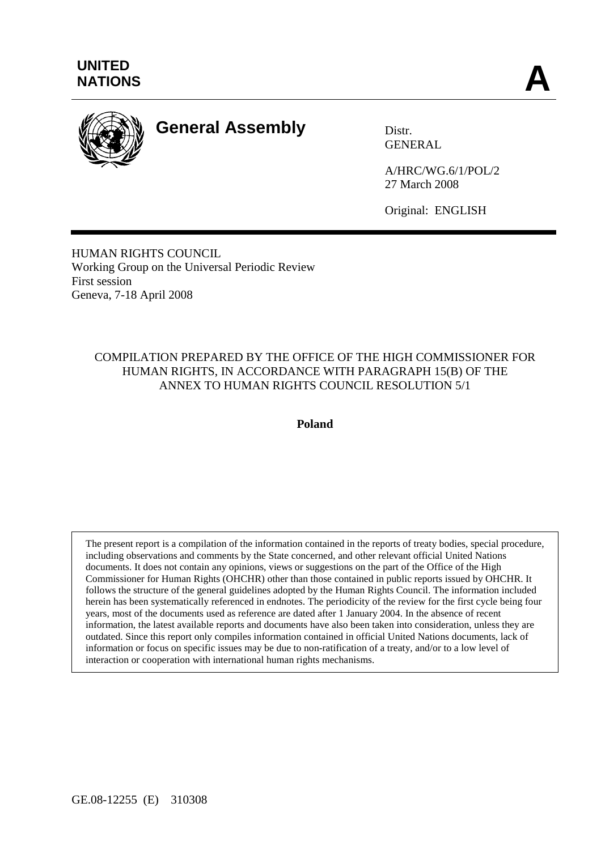

# **General Assembly** Distr.

GENERAL

A/HRC/WG.6/1/POL/2 27 March 2008

Original: ENGLISH

HUMAN RIGHTS COUNCIL Working Group on the Universal Periodic Review First session Geneva, 7-18 April 2008

#### COMPILATION PREPARED BY THE OFFICE OF THE HIGH COMMISSIONER FOR HUMAN RIGHTS, IN ACCORDANCE WITH PARAGRAPH 15(B) OF THE ANNEX TO HUMAN RIGHTS COUNCIL RESOLUTION 5/1

**Poland** 

The present report is a compilation of the information contained in the reports of treaty bodies, special procedure, including observations and comments by the State concerned, and other relevant official United Nations documents. It does not contain any opinions, views or suggestions on the part of the Office of the High Commissioner for Human Rights (OHCHR) other than those contained in public reports issued by OHCHR. It follows the structure of the general guidelines adopted by the Human Rights Council. The information included herein has been systematically referenced in endnotes. The periodicity of the review for the first cycle being four years, most of the documents used as reference are dated after 1 January 2004. In the absence of recent information, the latest available reports and documents have also been taken into consideration, unless they are outdated. Since this report only compiles information contained in official United Nations documents, lack of information or focus on specific issues may be due to non-ratification of a treaty, and/or to a low level of interaction or cooperation with international human rights mechanisms.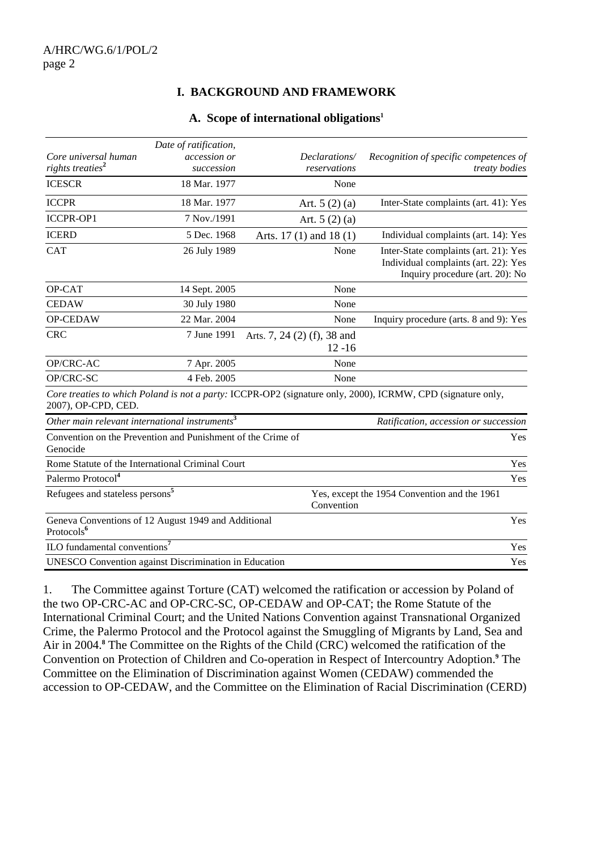#### **I. BACKGROUND AND FRAMEWORK**

#### **A. Scope of international obligations1**

|                                                                               | Date of ratification,      |                                          |                                                                                                                  |
|-------------------------------------------------------------------------------|----------------------------|------------------------------------------|------------------------------------------------------------------------------------------------------------------|
| Core universal human<br>rights treaties <sup>2</sup>                          | accession or<br>succession | Declarations/<br>reservations            | Recognition of specific competences of<br><i>treaty bodies</i>                                                   |
| <b>ICESCR</b>                                                                 | 18 Mar. 1977               | None                                     |                                                                                                                  |
| <b>ICCPR</b>                                                                  | 18 Mar. 1977               | Art. $5(2)(a)$                           | Inter-State complaints (art. 41): Yes                                                                            |
| <b>ICCPR-OP1</b>                                                              | 7 Nov./1991                | Art. $5(2)(a)$                           |                                                                                                                  |
| <b>ICERD</b>                                                                  | 5 Dec. 1968                | Arts. $17(1)$ and $18(1)$                | Individual complaints (art. 14): Yes                                                                             |
| <b>CAT</b>                                                                    | 26 July 1989               | None                                     | Inter-State complaints (art. 21): Yes<br>Individual complaints (art. 22): Yes<br>Inquiry procedure (art. 20): No |
| OP-CAT                                                                        | 14 Sept. 2005              | None                                     |                                                                                                                  |
| <b>CEDAW</b>                                                                  | 30 July 1980               | None                                     |                                                                                                                  |
| OP-CEDAW                                                                      | 22 Mar. 2004               | None                                     | Inquiry procedure (arts. 8 and 9): Yes                                                                           |
| <b>CRC</b>                                                                    | 7 June 1991                | Arts. 7, 24 (2) (f), 38 and<br>$12 - 16$ |                                                                                                                  |
| OP/CRC-AC                                                                     | 7 Apr. 2005                | None                                     |                                                                                                                  |
| OP/CRC-SC                                                                     | 4 Feb. 2005                | None                                     |                                                                                                                  |
| 2007), OP-CPD, CED.                                                           |                            |                                          | Core treaties to which Poland is not a party: ICCPR-OP2 (signature only, 2000), ICRMW, CPD (signature only,      |
| Other main relevant international instruments $3$                             |                            |                                          | Ratification, accession or succession                                                                            |
| Convention on the Prevention and Punishment of the Crime of<br>Genocide       |                            |                                          | Yes                                                                                                              |
| Rome Statute of the International Criminal Court                              |                            |                                          | Yes                                                                                                              |
| Palermo Protocol <sup>4</sup>                                                 |                            |                                          | Yes                                                                                                              |
| Refugees and stateless persons <sup>5</sup>                                   |                            | Convention                               | Yes, except the 1954 Convention and the 1961                                                                     |
| Geneva Conventions of 12 August 1949 and Additional<br>Protocols <sup>6</sup> |                            |                                          | Yes                                                                                                              |
| ILO fundamental conventions <sup>7</sup>                                      |                            |                                          | Yes                                                                                                              |
| <b>UNESCO</b> Convention against Discrimination in Education                  |                            |                                          | Yes                                                                                                              |

1. The Committee against Torture (CAT) welcomed the ratification or accession by Poland of the two OP-CRC-AC and OP-CRC-SC, OP-CEDAW and OP-CAT; the Rome Statute of the International Criminal Court; and the United Nations Convention against Transnational Organized Crime, the Palermo Protocol and the Protocol against the Smuggling of Migrants by Land, Sea and Air in 2004.**<sup>8</sup>** The Committee on the Rights of the Child (CRC) welcomed the ratification of the Convention on Protection of Children and Co-operation in Respect of Intercountry Adoption.**<sup>9</sup>** The Committee on the Elimination of Discrimination against Women (CEDAW) commended the accession to OP-CEDAW, and the Committee on the Elimination of Racial Discrimination (CERD)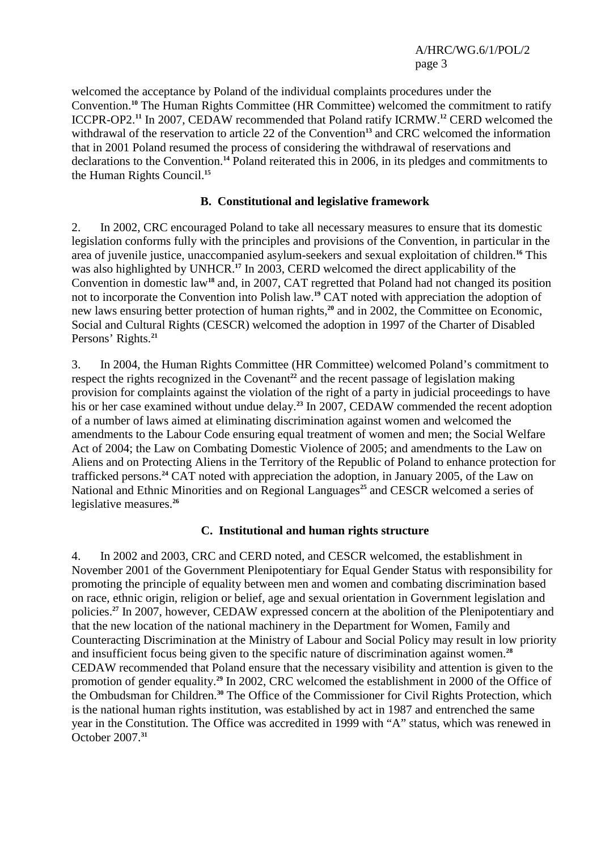welcomed the acceptance by Poland of the individual complaints procedures under the Convention.<sup>10</sup> The Human Rights Committee (HR Committee) welcomed the commitment to ratify ICCPR-OP2.**<sup>11</sup>** In 2007, CEDAW recommended that Poland ratify ICRMW.**<sup>12</sup>** CERD welcomed the withdrawal of the reservation to article 22 of the Convention**<sup>13</sup>** and CRC welcomed the information that in 2001 Poland resumed the process of considering the withdrawal of reservations and declarations to the Convention.**<sup>14</sup>** Poland reiterated this in 2006, in its pledges and commitments to the Human Rights Council.**<sup>15</sup>**

#### **B. Constitutional and legislative framework**

2. In 2002, CRC encouraged Poland to take all necessary measures to ensure that its domestic legislation conforms fully with the principles and provisions of the Convention, in particular in the area of juvenile justice, unaccompanied asylum-seekers and sexual exploitation of children.**<sup>16</sup>** This was also highlighted by UNHCR.**<sup>17</sup>** In 2003, CERD welcomed the direct applicability of the Convention in domestic law**<sup>18</sup>** and, in 2007, CAT regretted that Poland had not changed its position not to incorporate the Convention into Polish law.**<sup>19</sup>** CAT noted with appreciation the adoption of new laws ensuring better protection of human rights,**<sup>20</sup>** and in 2002, the Committee on Economic, Social and Cultural Rights (CESCR) welcomed the adoption in 1997 of the Charter of Disabled Persons' Rights.**<sup>21</sup>**

3. In 2004, the Human Rights Committee (HR Committee) welcomed Poland's commitment to respect the rights recognized in the Covenant<sup>22</sup> and the recent passage of legislation making provision for complaints against the violation of the right of a party in judicial proceedings to have his or her case examined without undue delay.**<sup>23</sup>** In 2007, CEDAW commended the recent adoption of a number of laws aimed at eliminating discrimination against women and welcomed the amendments to the Labour Code ensuring equal treatment of women and men; the Social Welfare Act of 2004; the Law on Combating Domestic Violence of 2005; and amendments to the Law on Aliens and on Protecting Aliens in the Territory of the Republic of Poland to enhance protection for trafficked persons.**<sup>24</sup>** CAT noted with appreciation the adoption, in January 2005, of the Law on National and Ethnic Minorities and on Regional Languages<sup>25</sup> and CESCR welcomed a series of legislative measures.**<sup>26</sup>**

#### **C. Institutional and human rights structure**

4. In 2002 and 2003, CRC and CERD noted, and CESCR welcomed, the establishment in November 2001 of the Government Plenipotentiary for Equal Gender Status with responsibility for promoting the principle of equality between men and women and combating discrimination based on race, ethnic origin, religion or belief, age and sexual orientation in Government legislation and policies.**<sup>27</sup>** In 2007, however, CEDAW expressed concern at the abolition of the Plenipotentiary and that the new location of the national machinery in the Department for Women, Family and Counteracting Discrimination at the Ministry of Labour and Social Policy may result in low priority and insufficient focus being given to the specific nature of discrimination against women.**<sup>28</sup>** CEDAW recommended that Poland ensure that the necessary visibility and attention is given to the promotion of gender equality.**<sup>29</sup>** In 2002, CRC welcomed the establishment in 2000 of the Office of the Ombudsman for Children.**<sup>30</sup>** The Office of the Commissioner for Civil Rights Protection, which is the national human rights institution, was established by act in 1987 and entrenched the same year in the Constitution. The Office was accredited in 1999 with "A" status, which was renewed in October 2007.**31**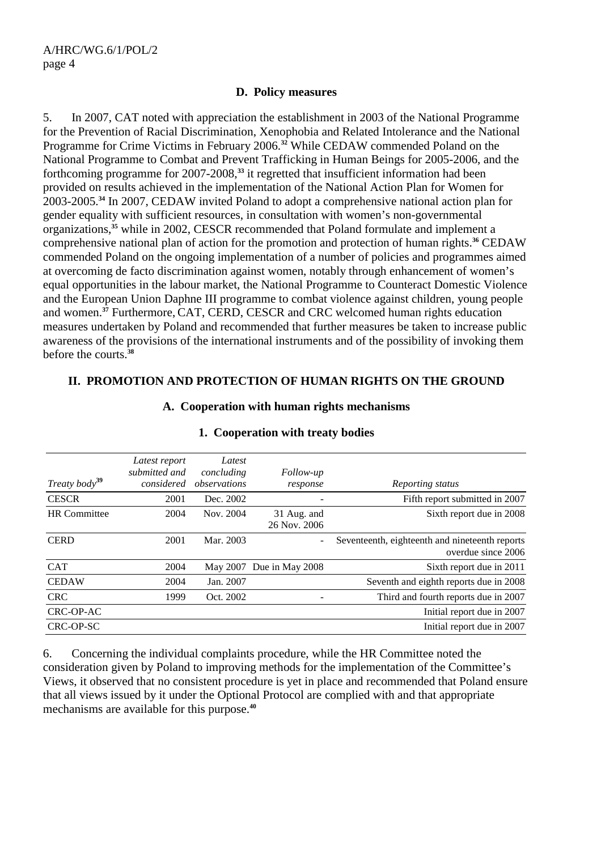#### **D. Policy measures**

5. In 2007, CAT noted with appreciation the establishment in 2003 of the National Programme for the Prevention of Racial Discrimination, Xenophobia and Related Intolerance and the National Programme for Crime Victims in February 2006.**<sup>32</sup>** While CEDAW commended Poland on the National Programme to Combat and Prevent Trafficking in Human Beings for 2005-2006, and the forthcoming programme for 2007-2008,**<sup>33</sup>** it regretted that insufficient information had been provided on results achieved in the implementation of the National Action Plan for Women for 2003-2005.**<sup>34</sup>** In 2007, CEDAW invited Poland to adopt a comprehensive national action plan for gender equality with sufficient resources, in consultation with women's non-governmental organizations,**<sup>35</sup>** while in 2002, CESCR recommended that Poland formulate and implement a comprehensive national plan of action for the promotion and protection of human rights.**<sup>36</sup>** CEDAW commended Poland on the ongoing implementation of a number of policies and programmes aimed at overcoming de facto discrimination against women, notably through enhancement of women's equal opportunities in the labour market, the National Programme to Counteract Domestic Violence and the European Union Daphne III programme to combat violence against children, young people and women.**<sup>37</sup>** Furthermore, CAT, CERD, CESCR and CRC welcomed human rights education measures undertaken by Poland and recommended that further measures be taken to increase public awareness of the provisions of the international instruments and of the possibility of invoking them before the courts.**<sup>38</sup>**

#### **II. PROMOTION AND PROTECTION OF HUMAN RIGHTS ON THE GROUND**

| Treaty body <sup>39</sup> | Latest report<br>submitted and<br>considered | Latest<br>concluding<br>observations | <i>Follow-up</i><br>response | Reporting status                                                     |
|---------------------------|----------------------------------------------|--------------------------------------|------------------------------|----------------------------------------------------------------------|
| <b>CESCR</b>              | 2001                                         | Dec. 2002                            |                              | Fifth report submitted in 2007                                       |
| <b>HR</b> Committee       | 2004                                         | Nov. 2004                            | 31 Aug. and<br>26 Nov. 2006  | Sixth report due in 2008                                             |
| <b>CERD</b>               | 2001                                         | Mar. 2003                            |                              | Seventeenth, eighteenth and nineteenth reports<br>overdue since 2006 |
| <b>CAT</b>                | 2004                                         |                                      | May 2007 Due in May 2008     | Sixth report due in 2011                                             |
| <b>CEDAW</b>              | 2004                                         | Jan. 2007                            |                              | Seventh and eighth reports due in 2008                               |
| <b>CRC</b>                | 1999                                         | Oct. 2002                            |                              | Third and fourth reports due in 2007                                 |
| CRC-OP-AC                 |                                              |                                      |                              | Initial report due in 2007                                           |
| CRC-OP-SC                 |                                              |                                      |                              | Initial report due in 2007                                           |

#### **A. Cooperation with human rights mechanisms**

## **1. Cooperation with treaty bodies**

6. Concerning the individual complaints procedure, while the HR Committee noted the consideration given by Poland to improving methods for the implementation of the Committee's Views, it observed that no consistent procedure is yet in place and recommended that Poland ensure that all views issued by it under the Optional Protocol are complied with and that appropriate mechanisms are available for this purpose.**<sup>40</sup>**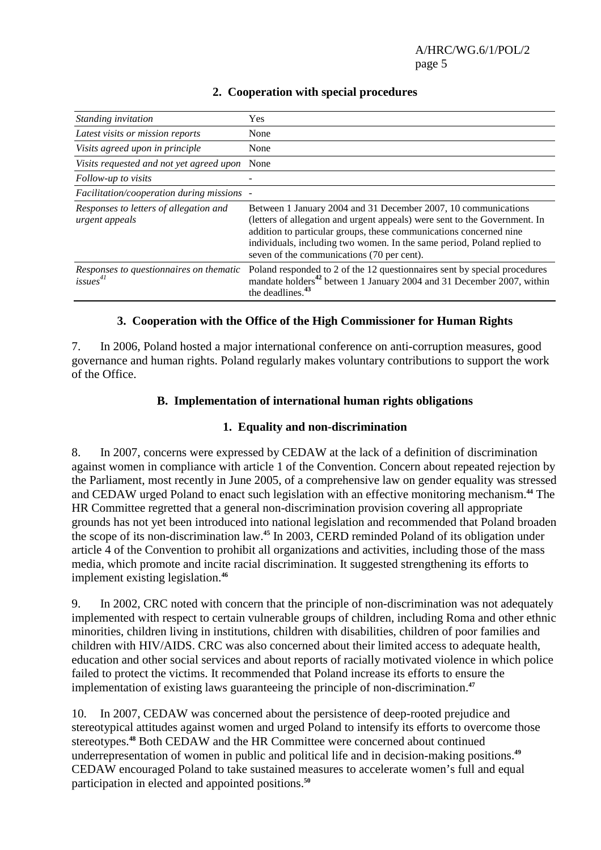| Standing invitation                                             | Yes                                                                                                                                                                                                                                                                                                                                         |
|-----------------------------------------------------------------|---------------------------------------------------------------------------------------------------------------------------------------------------------------------------------------------------------------------------------------------------------------------------------------------------------------------------------------------|
| Latest visits or mission reports                                | None                                                                                                                                                                                                                                                                                                                                        |
| Visits agreed upon in principle                                 | None                                                                                                                                                                                                                                                                                                                                        |
| Visits requested and not yet agreed upon                        | None                                                                                                                                                                                                                                                                                                                                        |
| Follow-up to visits                                             |                                                                                                                                                                                                                                                                                                                                             |
| Facilitation/cooperation during missions -                      |                                                                                                                                                                                                                                                                                                                                             |
| Responses to letters of allegation and<br>urgent appeals        | Between 1 January 2004 and 31 December 2007, 10 communications<br>(letters of allegation and urgent appeals) were sent to the Government. In<br>addition to particular groups, these communications concerned nine<br>individuals, including two women. In the same period, Poland replied to<br>seven of the communications (70 per cent). |
| Responses to questionnaires on thematic<br>issues <sup>41</sup> | Poland responded to 2 of the 12 questionnaires sent by special procedures<br>mandate holders <sup>42</sup> between 1 January 2004 and 31 December 2007, within<br>the deadlines. <sup>43</sup>                                                                                                                                              |

### **2. Cooperation with special procedures**

#### **3. Cooperation with the Office of the High Commissioner for Human Rights**

7. In 2006, Poland hosted a major international conference on anti-corruption measures, good governance and human rights. Poland regularly makes voluntary contributions to support the work of the Office.

#### **B. Implementation of international human rights obligations**

#### **1. Equality and non-discrimination**

8. In 2007, concerns were expressed by CEDAW at the lack of a definition of discrimination against women in compliance with article 1 of the Convention. Concern about repeated rejection by the Parliament, most recently in June 2005, of a comprehensive law on gender equality was stressed and CEDAW urged Poland to enact such legislation with an effective monitoring mechanism.**<sup>44</sup>** The HR Committee regretted that a general non-discrimination provision covering all appropriate grounds has not yet been introduced into national legislation and recommended that Poland broaden the scope of its non-discrimination law.**<sup>45</sup>** In 2003, CERD reminded Poland of its obligation under article 4 of the Convention to prohibit all organizations and activities, including those of the mass media, which promote and incite racial discrimination. It suggested strengthening its efforts to implement existing legislation.**<sup>46</sup>**

9. In 2002, CRC noted with concern that the principle of non-discrimination was not adequately implemented with respect to certain vulnerable groups of children, including Roma and other ethnic minorities, children living in institutions, children with disabilities, children of poor families and children with HIV/AIDS. CRC was also concerned about their limited access to adequate health, education and other social services and about reports of racially motivated violence in which police failed to protect the victims. It recommended that Poland increase its efforts to ensure the implementation of existing laws guaranteeing the principle of non-discrimination.**<sup>47</sup>**

10. In 2007, CEDAW was concerned about the persistence of deep-rooted prejudice and stereotypical attitudes against women and urged Poland to intensify its efforts to overcome those stereotypes.**<sup>48</sup>** Both CEDAW and the HR Committee were concerned about continued underrepresentation of women in public and political life and in decision-making positions.**<sup>49</sup>** CEDAW encouraged Poland to take sustained measures to accelerate women's full and equal participation in elected and appointed positions.**50**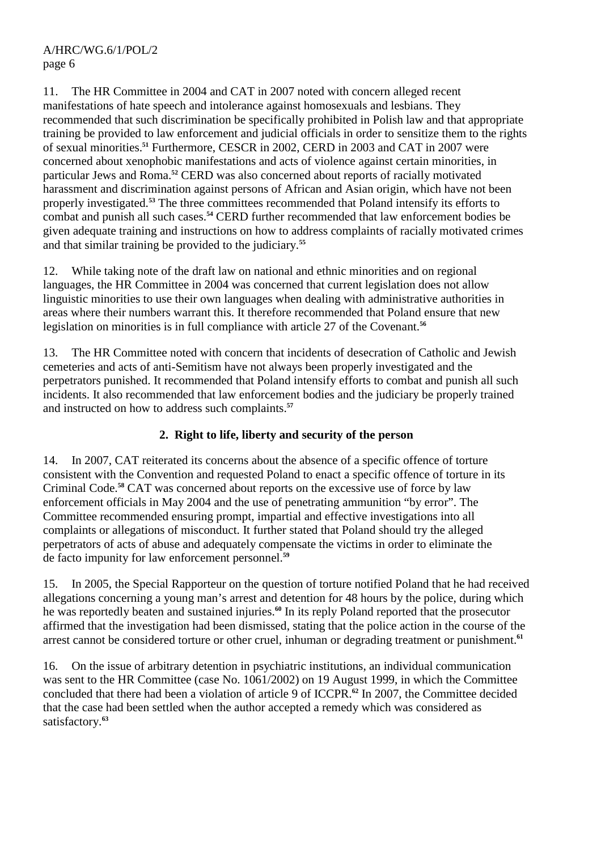11. The HR Committee in 2004 and CAT in 2007 noted with concern alleged recent manifestations of hate speech and intolerance against homosexuals and lesbians. They recommended that such discrimination be specifically prohibited in Polish law and that appropriate training be provided to law enforcement and judicial officials in order to sensitize them to the rights of sexual minorities.**<sup>51</sup>** Furthermore, CESCR in 2002, CERD in 2003 and CAT in 2007 were concerned about xenophobic manifestations and acts of violence against certain minorities, in particular Jews and Roma.**<sup>52</sup>** CERD was also concerned about reports of racially motivated harassment and discrimination against persons of African and Asian origin, which have not been properly investigated.<sup>53</sup> The three committees recommended that Poland intensify its efforts to combat and punish all such cases.**<sup>54</sup>** CERD further recommended that law enforcement bodies be given adequate training and instructions on how to address complaints of racially motivated crimes and that similar training be provided to the judiciary.**<sup>55</sup>**

12. While taking note of the draft law on national and ethnic minorities and on regional languages, the HR Committee in 2004 was concerned that current legislation does not allow linguistic minorities to use their own languages when dealing with administrative authorities in areas where their numbers warrant this. It therefore recommended that Poland ensure that new legislation on minorities is in full compliance with article 27 of the Covenant.**<sup>56</sup>**

13. The HR Committee noted with concern that incidents of desecration of Catholic and Jewish cemeteries and acts of anti-Semitism have not always been properly investigated and the perpetrators punished. It recommended that Poland intensify efforts to combat and punish all such incidents. It also recommended that law enforcement bodies and the judiciary be properly trained and instructed on how to address such complaints.**<sup>57</sup>**

#### **2. Right to life, liberty and security of the person**

14. In 2007, CAT reiterated its concerns about the absence of a specific offence of torture consistent with the Convention and requested Poland to enact a specific offence of torture in its Criminal Code.**<sup>58</sup>** CAT was concerned about reports on the excessive use of force by law enforcement officials in May 2004 and the use of penetrating ammunition "by error". The Committee recommended ensuring prompt, impartial and effective investigations into all complaints or allegations of misconduct. It further stated that Poland should try the alleged perpetrators of acts of abuse and adequately compensate the victims in order to eliminate the de facto impunity for law enforcement personnel.**<sup>59</sup>**

15. In 2005, the Special Rapporteur on the question of torture notified Poland that he had received allegations concerning a young man's arrest and detention for 48 hours by the police, during which he was reportedly beaten and sustained injuries.**<sup>60</sup>** In its reply Poland reported that the prosecutor affirmed that the investigation had been dismissed, stating that the police action in the course of the arrest cannot be considered torture or other cruel, inhuman or degrading treatment or punishment.**<sup>61</sup>**

16. On the issue of arbitrary detention in psychiatric institutions, an individual communication was sent to the HR Committee (case No. 1061/2002) on 19 August 1999, in which the Committee concluded that there had been a violation of article 9 of ICCPR.**<sup>62</sup>** In 2007, the Committee decided that the case had been settled when the author accepted a remedy which was considered as satisfactory.**63**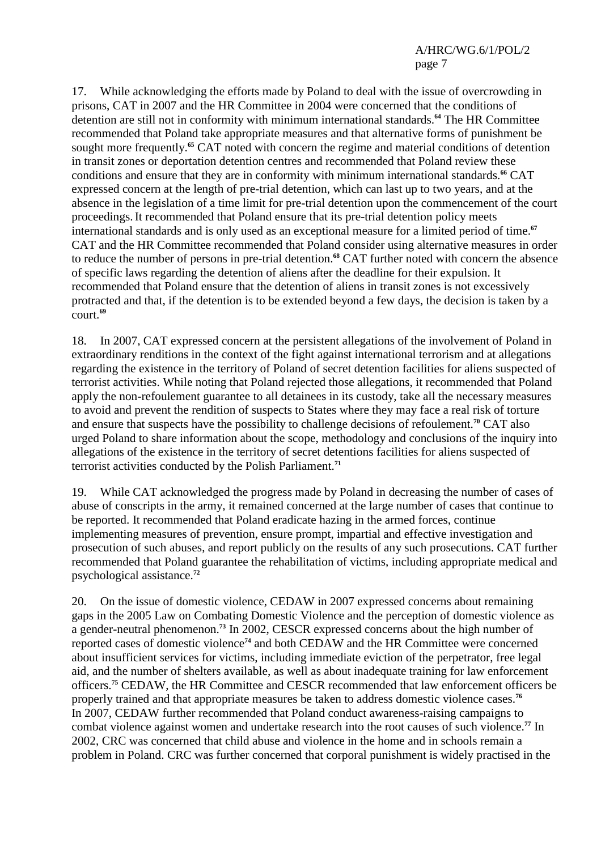17. While acknowledging the efforts made by Poland to deal with the issue of overcrowding in prisons, CAT in 2007 and the HR Committee in 2004 were concerned that the conditions of detention are still not in conformity with minimum international standards.**<sup>64</sup>** The HR Committee recommended that Poland take appropriate measures and that alternative forms of punishment be sought more frequently.**<sup>65</sup>** CAT noted with concern the regime and material conditions of detention in transit zones or deportation detention centres and recommended that Poland review these conditions and ensure that they are in conformity with minimum international standards.**<sup>66</sup>** CAT expressed concern at the length of pre-trial detention, which can last up to two years, and at the absence in the legislation of a time limit for pre-trial detention upon the commencement of the court proceedings.It recommended that Poland ensure that its pre-trial detention policy meets international standards and is only used as an exceptional measure for a limited period of time.**<sup>67</sup>** CAT and the HR Committee recommended that Poland consider using alternative measures in order to reduce the number of persons in pre-trial detention.**<sup>68</sup>** CAT further noted with concern the absence of specific laws regarding the detention of aliens after the deadline for their expulsion. It recommended that Poland ensure that the detention of aliens in transit zones is not excessively protracted and that, if the detention is to be extended beyond a few days, the decision is taken by a court.**<sup>69</sup>**

18. In 2007, CAT expressed concern at the persistent allegations of the involvement of Poland in extraordinary renditions in the context of the fight against international terrorism and at allegations regarding the existence in the territory of Poland of secret detention facilities for aliens suspected of terrorist activities. While noting that Poland rejected those allegations, it recommended that Poland apply the non-refoulement guarantee to all detainees in its custody, take all the necessary measures to avoid and prevent the rendition of suspects to States where they may face a real risk of torture and ensure that suspects have the possibility to challenge decisions of refoulement.**<sup>70</sup>** CAT also urged Poland to share information about the scope, methodology and conclusions of the inquiry into allegations of the existence in the territory of secret detentions facilities for aliens suspected of terrorist activities conducted by the Polish Parliament.**<sup>71</sup>**

19. While CAT acknowledged the progress made by Poland in decreasing the number of cases of abuse of conscripts in the army, it remained concerned at the large number of cases that continue to be reported. It recommended that Poland eradicate hazing in the armed forces, continue implementing measures of prevention, ensure prompt, impartial and effective investigation and prosecution of such abuses, and report publicly on the results of any such prosecutions. CAT further recommended that Poland guarantee the rehabilitation of victims, including appropriate medical and psychological assistance.**<sup>72</sup>**

20. On the issue of domestic violence, CEDAW in 2007 expressed concerns about remaining gaps in the 2005 Law on Combating Domestic Violence and the perception of domestic violence as a gender-neutral phenomenon.**<sup>73</sup>** In 2002, CESCR expressed concerns about the high number of reported cases of domestic violence**<sup>74</sup>** and both CEDAW and the HR Committee were concerned about insufficient services for victims, including immediate eviction of the perpetrator, free legal aid, and the number of shelters available, as well as about inadequate training for law enforcement officers.**<sup>75</sup>** CEDAW, the HR Committee and CESCR recommended that law enforcement officers be properly trained and that appropriate measures be taken to address domestic violence cases.**<sup>76</sup>** In 2007, CEDAW further recommended that Poland conduct awareness-raising campaigns to combat violence against women and undertake research into the root causes of such violence.**<sup>77</sup>** In 2002, CRC was concerned that child abuse and violence in the home and in schools remain a problem in Poland. CRC was further concerned that corporal punishment is widely practised in the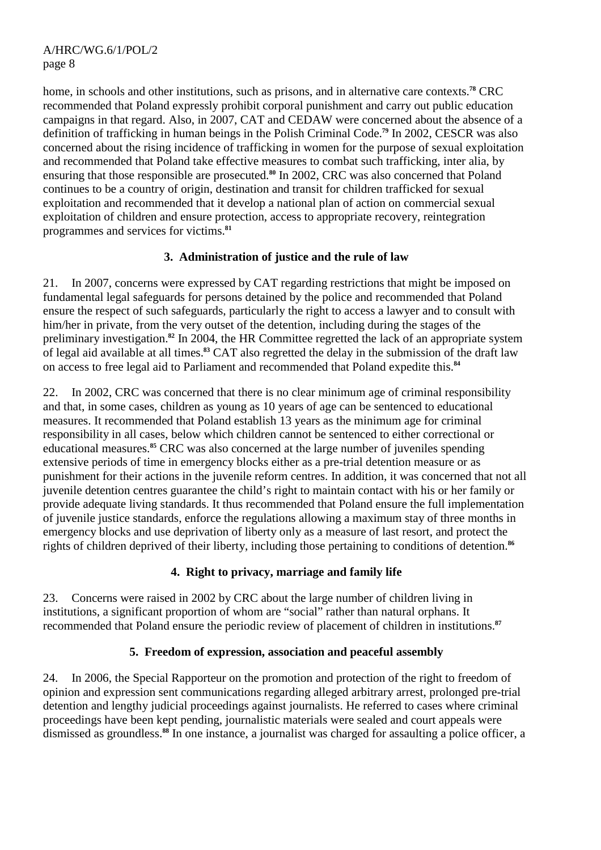home, in schools and other institutions, such as prisons, and in alternative care contexts.**<sup>78</sup>** CRC recommended that Poland expressly prohibit corporal punishment and carry out public education campaigns in that regard. Also, in 2007, CAT and CEDAW were concerned about the absence of a definition of trafficking in human beings in the Polish Criminal Code.**<sup>79</sup>** In 2002, CESCR was also concerned about the rising incidence of trafficking in women for the purpose of sexual exploitation and recommended that Poland take effective measures to combat such trafficking, inter alia, by ensuring that those responsible are prosecuted.**<sup>80</sup>** In 2002, CRC was also concerned that Poland continues to be a country of origin, destination and transit for children trafficked for sexual exploitation and recommended that it develop a national plan of action on commercial sexual exploitation of children and ensure protection, access to appropriate recovery, reintegration programmes and services for victims.**<sup>81</sup>**

#### **3. Administration of justice and the rule of law**

21. In 2007, concerns were expressed by CAT regarding restrictions that might be imposed on fundamental legal safeguards for persons detained by the police and recommended that Poland ensure the respect of such safeguards, particularly the right to access a lawyer and to consult with him/her in private, from the very outset of the detention, including during the stages of the preliminary investigation.**<sup>82</sup>** In 2004, the HR Committee regretted the lack of an appropriate system of legal aid available at all times.**<sup>83</sup>** CAT also regretted the delay in the submission of the draft law on access to free legal aid to Parliament and recommended that Poland expedite this.**<sup>84</sup>**

22. In 2002, CRC was concerned that there is no clear minimum age of criminal responsibility and that, in some cases, children as young as 10 years of age can be sentenced to educational measures. It recommended that Poland establish 13 years as the minimum age for criminal responsibility in all cases, below which children cannot be sentenced to either correctional or educational measures.**<sup>85</sup>** CRC was also concerned at the large number of juveniles spending extensive periods of time in emergency blocks either as a pre-trial detention measure or as punishment for their actions in the juvenile reform centres. In addition, it was concerned that not all juvenile detention centres guarantee the child's right to maintain contact with his or her family or provide adequate living standards. It thus recommended that Poland ensure the full implementation of juvenile justice standards, enforce the regulations allowing a maximum stay of three months in emergency blocks and use deprivation of liberty only as a measure of last resort, and protect the rights of children deprived of their liberty, including those pertaining to conditions of detention.**<sup>86</sup>**

#### **4. Right to privacy, marriage and family life**

23. Concerns were raised in 2002 by CRC about the large number of children living in institutions, a significant proportion of whom are "social" rather than natural orphans. It recommended that Poland ensure the periodic review of placement of children in institutions.**<sup>87</sup>**

#### **5. Freedom of expression, association and peaceful assembly**

24. In 2006, the Special Rapporteur on the promotion and protection of the right to freedom of opinion and expression sent communications regarding alleged arbitrary arrest, prolonged pre-trial detention and lengthy judicial proceedings against journalists. He referred to cases where criminal proceedings have been kept pending, journalistic materials were sealed and court appeals were dismissed as groundless.**88** In one instance, a journalist was charged for assaulting a police officer, a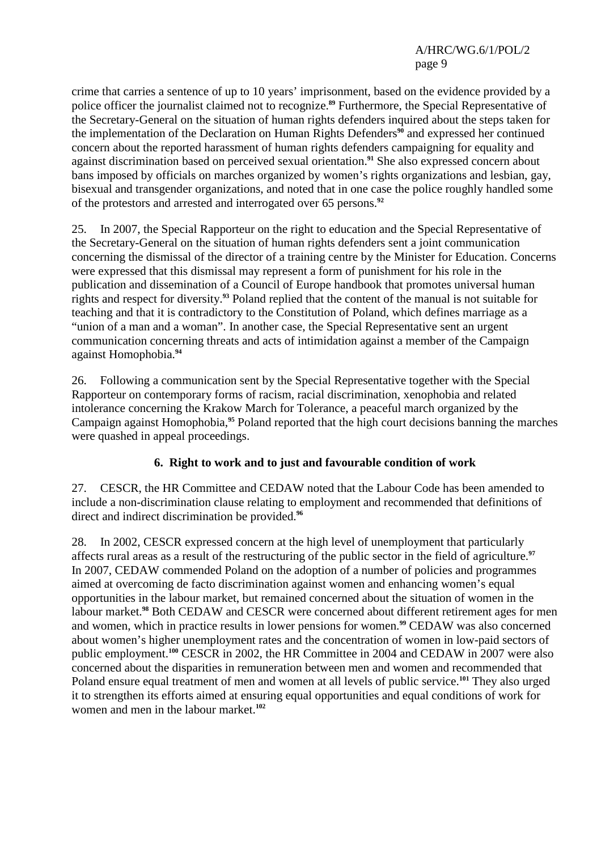crime that carries a sentence of up to 10 years' imprisonment, based on the evidence provided by a police officer the journalist claimed not to recognize.**<sup>89</sup>** Furthermore, the Special Representative of the Secretary-General on the situation of human rights defenders inquired about the steps taken for the implementation of the Declaration on Human Rights Defenders**<sup>90</sup>** and expressed her continued concern about the reported harassment of human rights defenders campaigning for equality and against discrimination based on perceived sexual orientation.**<sup>91</sup>** She also expressed concern about bans imposed by officials on marches organized by women's rights organizations and lesbian, gay, bisexual and transgender organizations, and noted that in one case the police roughly handled some of the protestors and arrested and interrogated over 65 persons.**<sup>92</sup>**

25. In 2007, the Special Rapporteur on the right to education and the Special Representative of the Secretary-General on the situation of human rights defenders sent a joint communication concerning the dismissal of the director of a training centre by the Minister for Education. Concerns were expressed that this dismissal may represent a form of punishment for his role in the publication and dissemination of a Council of Europe handbook that promotes universal human rights and respect for diversity.**<sup>93</sup>** Poland replied that the content of the manual is not suitable for teaching and that it is contradictory to the Constitution of Poland, which defines marriage as a "union of a man and a woman". In another case, the Special Representative sent an urgent communication concerning threats and acts of intimidation against a member of the Campaign against Homophobia.**<sup>94</sup>**

26. Following a communication sent by the Special Representative together with the Special Rapporteur on contemporary forms of racism, racial discrimination, xenophobia and related intolerance concerning the Krakow March for Tolerance, a peaceful march organized by the Campaign against Homophobia,**<sup>95</sup>** Poland reported that the high court decisions banning the marches were quashed in appeal proceedings.

#### **6. Right to work and to just and favourable condition of work**

27. CESCR, the HR Committee and CEDAW noted that the Labour Code has been amended to include a non-discrimination clause relating to employment and recommended that definitions of direct and indirect discrimination be provided.**<sup>96</sup>**

28. In 2002, CESCR expressed concern at the high level of unemployment that particularly affects rural areas as a result of the restructuring of the public sector in the field of agriculture.**<sup>97</sup>** In 2007, CEDAW commended Poland on the adoption of a number of policies and programmes aimed at overcoming de facto discrimination against women and enhancing women's equal opportunities in the labour market, but remained concerned about the situation of women in the labour market.**<sup>98</sup>** Both CEDAW and CESCR were concerned about different retirement ages for men and women, which in practice results in lower pensions for women.**<sup>99</sup>** CEDAW was also concerned about women's higher unemployment rates and the concentration of women in low-paid sectors of public employment.**<sup>100</sup>** CESCR in 2002, the HR Committee in 2004 and CEDAW in 2007 were also concerned about the disparities in remuneration between men and women and recommended that Poland ensure equal treatment of men and women at all levels of public service.**<sup>101</sup>** They also urged it to strengthen its efforts aimed at ensuring equal opportunities and equal conditions of work for women and men in the labour market.**102**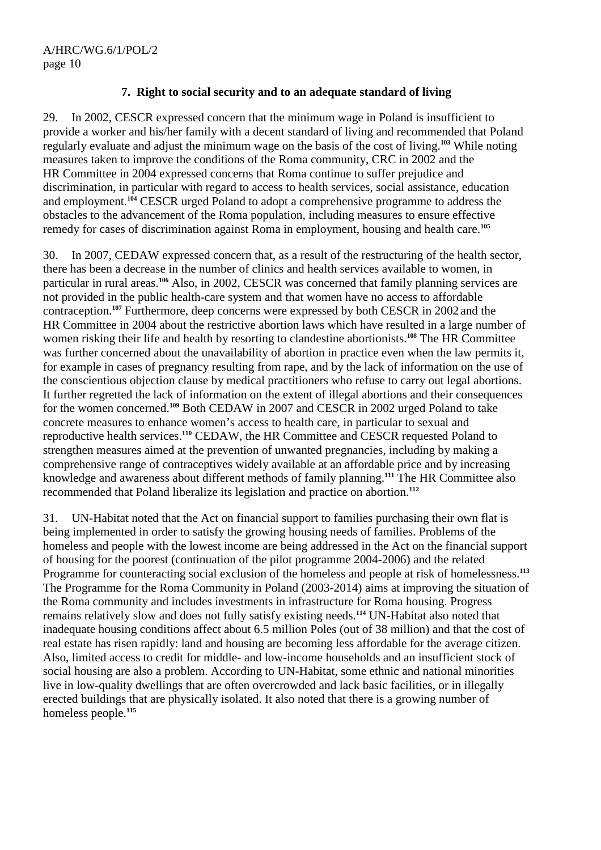#### **7. Right to social security and to an adequate standard of living**

29. In 2002, CESCR expressed concern that the minimum wage in Poland is insufficient to provide a worker and his/her family with a decent standard of living and recommended that Poland regularly evaluate and adjust the minimum wage on the basis of the cost of living.**<sup>103</sup>** While noting measures taken to improve the conditions of the Roma community, CRC in 2002 and the HR Committee in 2004 expressed concerns that Roma continue to suffer prejudice and discrimination, in particular with regard to access to health services, social assistance, education and employment.**<sup>104</sup>** CESCR urged Poland to adopt a comprehensive programme to address the obstacles to the advancement of the Roma population, including measures to ensure effective remedy for cases of discrimination against Roma in employment, housing and health care.**<sup>105</sup>**

30. In 2007, CEDAW expressed concern that, as a result of the restructuring of the health sector, there has been a decrease in the number of clinics and health services available to women, in particular in rural areas.**<sup>106</sup>** Also, in 2002, CESCR was concerned that family planning services are not provided in the public health-care system and that women have no access to affordable contraception.**<sup>107</sup>** Furthermore, deep concerns were expressed by both CESCR in 2002 and the HR Committee in 2004 about the restrictive abortion laws which have resulted in a large number of women risking their life and health by resorting to clandestine abortionists.**<sup>108</sup>** The HR Committee was further concerned about the unavailability of abortion in practice even when the law permits it, for example in cases of pregnancy resulting from rape, and by the lack of information on the use of the conscientious objection clause by medical practitioners who refuse to carry out legal abortions. It further regretted the lack of information on the extent of illegal abortions and their consequences for the women concerned.**<sup>109</sup>** Both CEDAW in 2007 and CESCR in 2002 urged Poland to take concrete measures to enhance women's access to health care, in particular to sexual and reproductive health services.**<sup>110</sup>** CEDAW, the HR Committee and CESCR requested Poland to strengthen measures aimed at the prevention of unwanted pregnancies, including by making a comprehensive range of contraceptives widely available at an affordable price and by increasing knowledge and awareness about different methods of family planning.**<sup>111</sup>** The HR Committee also recommended that Poland liberalize its legislation and practice on abortion.**<sup>112</sup>**

31. UN-Habitat noted that the Act on financial support to families purchasing their own flat is being implemented in order to satisfy the growing housing needs of families. Problems of the homeless and people with the lowest income are being addressed in the Act on the financial support of housing for the poorest (continuation of the pilot programme 2004-2006) and the related Programme for counteracting social exclusion of the homeless and people at risk of homelessness.**<sup>113</sup>** The Programme for the Roma Community in Poland (2003-2014) aims at improving the situation of the Roma community and includes investments in infrastructure for Roma housing. Progress remains relatively slow and does not fully satisfy existing needs.**<sup>114</sup>** UN-Habitat also noted that inadequate housing conditions affect about 6.5 million Poles (out of 38 million) and that the cost of real estate has risen rapidly: land and housing are becoming less affordable for the average citizen. Also, limited access to credit for middle- and low-income households and an insufficient stock of social housing are also a problem. According to UN-Habitat, some ethnic and national minorities live in low-quality dwellings that are often overcrowded and lack basic facilities, or in illegally erected buildings that are physically isolated. It also noted that there is a growing number of homeless people.**115**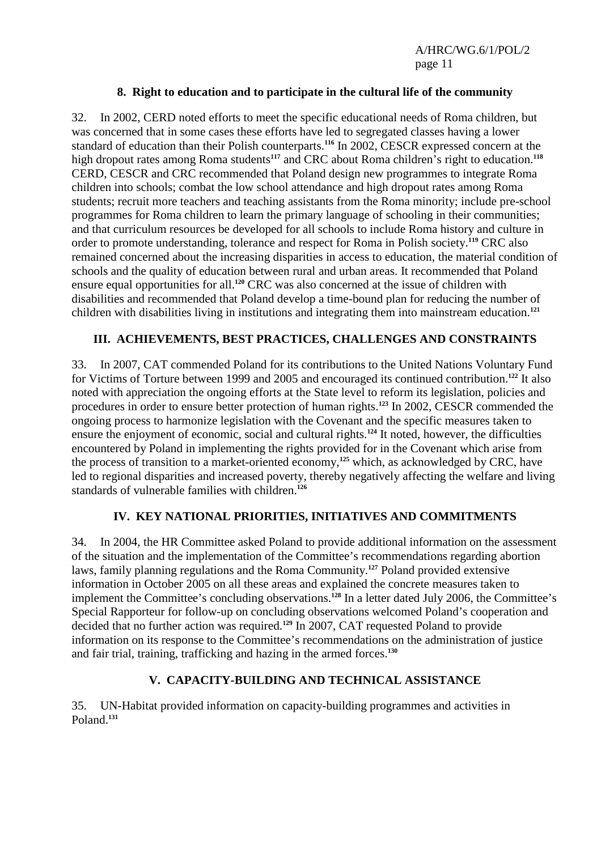#### **8. Right to education and to participate in the cultural life of the community**

32. In 2002, CERD noted efforts to meet the specific educational needs of Roma children, but was concerned that in some cases these efforts have led to segregated classes having a lower standard of education than their Polish counterparts.**<sup>116</sup>** In 2002, CESCR expressed concern at the high dropout rates among Roma students<sup>117</sup> and CRC about Roma children's right to education.<sup>118</sup> CERD, CESCR and CRC recommended that Poland design new programmes to integrate Roma children into schools; combat the low school attendance and high dropout rates among Roma students; recruit more teachers and teaching assistants from the Roma minority; include pre-school programmes for Roma children to learn the primary language of schooling in their communities; and that curriculum resources be developed for all schools to include Roma history and culture in order to promote understanding, tolerance and respect for Roma in Polish society.**<sup>119</sup>** CRC also remained concerned about the increasing disparities in access to education, the material condition of schools and the quality of education between rural and urban areas. It recommended that Poland ensure equal opportunities for all.**<sup>120</sup>** CRC was also concerned at the issue of children with disabilities and recommended that Poland develop a time-bound plan for reducing the number of children with disabilities living in institutions and integrating them into mainstream education.**<sup>121</sup>**

#### **III. ACHIEVEMENTS, BEST PRACTICES, CHALLENGES AND CONSTRAINTS**

33. In 2007, CAT commended Poland for its contributions to the United Nations Voluntary Fund for Victims of Torture between 1999 and 2005 and encouraged its continued contribution.**<sup>122</sup>** It also noted with appreciation the ongoing efforts at the State level to reform its legislation, policies and procedures in order to ensure better protection of human rights.**<sup>123</sup>** In 2002, CESCR commended the ongoing process to harmonize legislation with the Covenant and the specific measures taken to ensure the enjoyment of economic, social and cultural rights.**<sup>124</sup>** It noted, however, the difficulties encountered by Poland in implementing the rights provided for in the Covenant which arise from the process of transition to a market-oriented economy,**<sup>125</sup>** which, as acknowledged by CRC, have led to regional disparities and increased poverty, thereby negatively affecting the welfare and living standards of vulnerable families with children.**<sup>126</sup>**

#### **IV. KEY NATIONAL PRIORITIES, INITIATIVES AND COMMITMENTS**

34. In 2004, the HR Committee asked Poland to provide additional information on the assessment of the situation and the implementation of the Committee's recommendations regarding abortion laws, family planning regulations and the Roma Community.**<sup>127</sup>** Poland provided extensive information in October 2005 on all these areas and explained the concrete measures taken to implement the Committee's concluding observations.**<sup>128</sup>** In a letter dated July 2006, the Committee's Special Rapporteur for follow-up on concluding observations welcomed Poland's cooperation and decided that no further action was required.**<sup>129</sup>** In 2007, CAT requested Poland to provide information on its response to the Committee's recommendations on the administration of justice and fair trial, training, trafficking and hazing in the armed forces.**<sup>130</sup>**

#### **V. CAPACITY-BUILDING AND TECHNICAL ASSISTANCE**

35. UN-Habitat provided information on capacity-building programmes and activities in Poland.**131**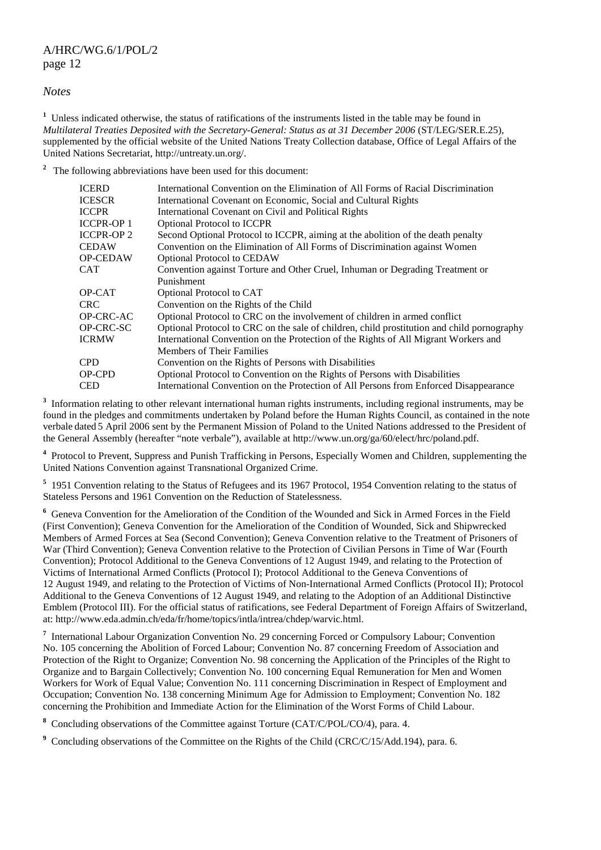#### *Notes*

<sup>1</sup> Unless indicated otherwise, the status of ratifications of the instruments listed in the table may be found in *Multilateral Treaties Deposited with the Secretary-General: Status as at 31 December 2006* (ST/LEG/SER.E.25), supplemented by the official website of the United Nations Treaty Collection database. Office of Legal Affairs of the United Nations Secretariat, http://untreaty.un.org/.

<sup>2</sup> The following abbreviations have been used for this document:

| <b>ICERD</b>    | International Convention on the Elimination of All Forms of Racial Discrimination          |
|-----------------|--------------------------------------------------------------------------------------------|
| <b>ICESCR</b>   | International Covenant on Economic, Social and Cultural Rights                             |
| <b>ICCPR</b>    | International Covenant on Civil and Political Rights                                       |
| ICCPR-OP 1      | <b>Optional Protocol to ICCPR</b>                                                          |
| ICCPR-OP 2      | Second Optional Protocol to ICCPR, aiming at the abolition of the death penalty            |
| CEDAW           | Convention on the Elimination of All Forms of Discrimination against Women                 |
| <b>OP-CEDAW</b> | <b>Optional Protocol to CEDAW</b>                                                          |
| CAT             | Convention against Torture and Other Cruel, Inhuman or Degrading Treatment or              |
|                 | Punishment                                                                                 |
| OP-CAT          | Optional Protocol to CAT                                                                   |
| CRC.            | Convention on the Rights of the Child                                                      |
| OP-CRC-AC       | Optional Protocol to CRC on the involvement of children in armed conflict                  |
| OP-CRC-SC       | Optional Protocol to CRC on the sale of children, child prostitution and child pornography |
| ICRMW           | International Convention on the Protection of the Rights of All Migrant Workers and        |
|                 | <b>Members of Their Families</b>                                                           |
| <b>CPD</b>      | Convention on the Rights of Persons with Disabilities                                      |
| OP-CPD          | Optional Protocol to Convention on the Rights of Persons with Disabilities                 |
| <b>CED</b>      | International Convention on the Protection of All Persons from Enforced Disappearance      |
|                 |                                                                                            |

<sup>3</sup> Information relating to other relevant international human rights instruments, including regional instruments, may be found in the pledges and commitments undertaken by Poland before the Human Rights Council, as contained in the note verbale dated 5 April 2006 sent by the Permanent Mission of Poland to the United Nations addressed to the President of the General Assembly (hereafter "note verbale"), available at http://www.un.org/ga/60/elect/hrc/poland.pdf.

<sup>4</sup> Protocol to Prevent, Suppress and Punish Trafficking in Persons, Especially Women and Children, supplementing the United Nations Convention against Transnational Organized Crime.

<sup>5</sup> 1951 Convention relating to the Status of Refugees and its 1967 Protocol, 1954 Convention relating to the status of Stateless Persons and 1961 Convention on the Reduction of Statelessness.

<sup>6</sup> Geneva Convention for the Amelioration of the Condition of the Wounded and Sick in Armed Forces in the Field (First Convention); Geneva Convention for the Amelioration of the Condition of Wounded, Sick and Shipwrecked Members of Armed Forces at Sea (Second Convention); Geneva Convention relative to the Treatment of Prisoners of War (Third Convention); Geneva Convention relative to the Protection of Civilian Persons in Time of War (Fourth Convention); Protocol Additional to the Geneva Conventions of 12 August 1949, and relating to the Protection of Victims of International Armed Conflicts (Protocol I); Protocol Additional to the Geneva Conventions of 12 August 1949, and relating to the Protection of Victims of Non-International Armed Conflicts (Protocol II); Protocol Additional to the Geneva Conventions of 12 August 1949, and relating to the Adoption of an Additional Distinctive Emblem (Protocol III). For the official status of ratifications, see Federal Department of Foreign Affairs of Switzerland, at: http://www.eda.admin.ch/eda/fr/home/topics/intla/intrea/chdep/warvic.html.

<sup>7</sup> International Labour Organization Convention No. 29 concerning Forced or Compulsory Labour; Convention No. 105 concerning the Abolition of Forced Labour; Convention No. 87 concerning Freedom of Association and Protection of the Right to Organize: Convention No. 98 concerning the Application of the Principles of the Right to Organize and to Bargain Collectively; Convention No. 100 concerning Equal Remuneration for Men and Women Workers for Work of Equal Value; Convention No. 111 concerning Discrimination in Respect of Employment and Occupation; Convention No. 138 concerning Minimum Age for Admission to Employment; Convention No. 182 concerning the Prohibition and Immediate Action for the Elimination of the Worst Forms of Child Labour.

<sup>8</sup> Concluding observations of the Committee against Torture (CAT/C/POL/CO/4), para. 4.

<sup>9</sup> Concluding observations of the Committee on the Rights of the Child (CRC/C/15/Add.194), para. 6.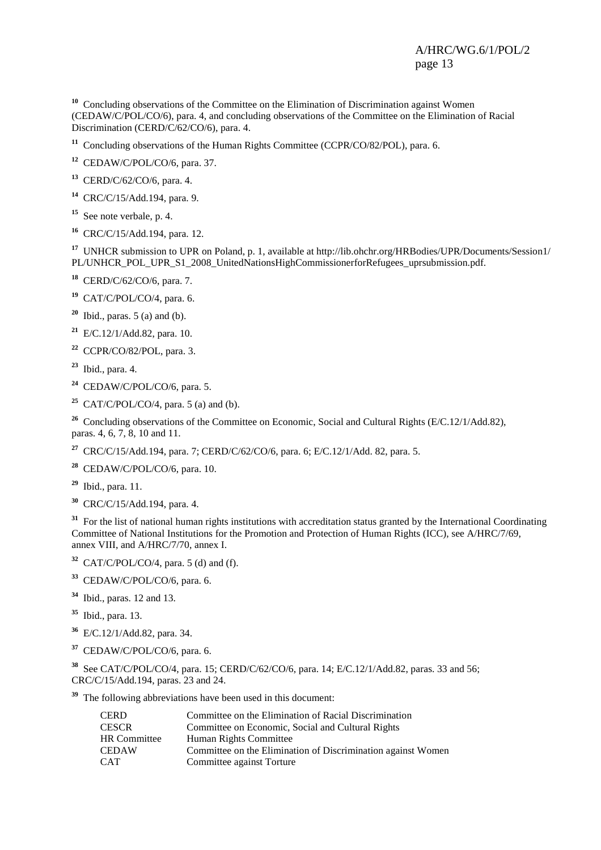<sup>10</sup> Concluding observations of the Committee on the Elimination of Discrimination against Women (CEDAW/C/POL/CO/6), para. 4, and concluding observations of the Committee on the Elimination of Racial Discrimination (CERD/C/62/CO/6), para. 4.

<sup>11</sup> Concluding observations of the Human Rights Committee (CCPR/CO/82/POL), para. 6.

**<sup>12</sup>** CEDAW/C/POL/CO/6, para. 37.

**<sup>13</sup>** CERD/C/62/CO/6, para. 4.

**<sup>14</sup>** CRC/C/15/Add.194, para. 9.

**<sup>15</sup>** See note verbale, p. 4.

**<sup>16</sup>** CRC/C/15/Add.194, para. 12.

**<sup>17</sup>** UNHCR submission to UPR on Poland, p. 1, available at http://lib.ohchr.org/HRBodies/UPR/Documents/Session1/ PL/UNHCR\_POL\_UPR\_S1\_2008\_UnitedNationsHighCommissionerforRefugees\_uprsubmission.pdf.

**<sup>18</sup>** CERD/C/62/CO/6, para. 7.

**<sup>19</sup>** CAT/C/POL/CO/4, para. 6.

**<sup>20</sup>** Ibid., paras. 5 (a) and (b).

**<sup>21</sup>** E/C.12/1/Add.82, para. 10.

**<sup>22</sup>** CCPR/CO/82/POL, para. 3.

**<sup>23</sup>** Ibid., para. 4.

**<sup>24</sup>** CEDAW/C/POL/CO/6, para. 5.

<sup>25</sup> CAT/C/POL/CO/4, para. 5 (a) and (b).

<sup>26</sup> Concluding observations of the Committee on Economic, Social and Cultural Rights (E/C.12/1/Add.82), paras. 4, 6, 7, 8, 10 and 11.

**<sup>27</sup>** CRC/C/15/Add.194, para. 7; CERD/C/62/CO/6, para. 6; E/C.12/1/Add. 82, para. 5.

**<sup>28</sup>** CEDAW/C/POL/CO/6, para. 10.

**<sup>29</sup>** Ibid., para. 11.

**<sup>30</sup>** CRC/C/15/Add.194, para. 4.

<sup>31</sup> For the list of national human rights institutions with accreditation status granted by the International Coordinating Committee of National Institutions for the Promotion and Protection of Human Rights (ICC), see A/HRC/7/69, annex VIII, and A/HRC/7/70, annex I.

 $32$  CAT/C/POL/CO/4, para. 5 (d) and (f).

**<sup>33</sup>** CEDAW/C/POL/CO/6, para. 6.

**<sup>34</sup>** Ibid., paras. 12 and 13.

**<sup>35</sup>** Ibid., para. 13.

**<sup>36</sup>** E/C.12/1/Add.82, para. 34.

**<sup>37</sup>** CEDAW/C/POL/CO/6, para. 6.

**<sup>38</sup>** See CAT/C/POL/CO/4, para. 15; CERD/C/62/CO/6, para. 14; E/C.12/1/Add.82, paras. 33 and 56; CRC/C/15/Add.194, paras. 23 and 24.

**<sup>39</sup>** The following abbreviations have been used in this document:

| <b>CERD</b>         | Committee on the Elimination of Racial Discrimination        |
|---------------------|--------------------------------------------------------------|
| <b>CESCR</b>        | Committee on Economic, Social and Cultural Rights            |
| <b>HR</b> Committee | Human Rights Committee                                       |
| <b>CEDAW</b>        | Committee on the Elimination of Discrimination against Women |
| <b>CAT</b>          | Committee against Torture                                    |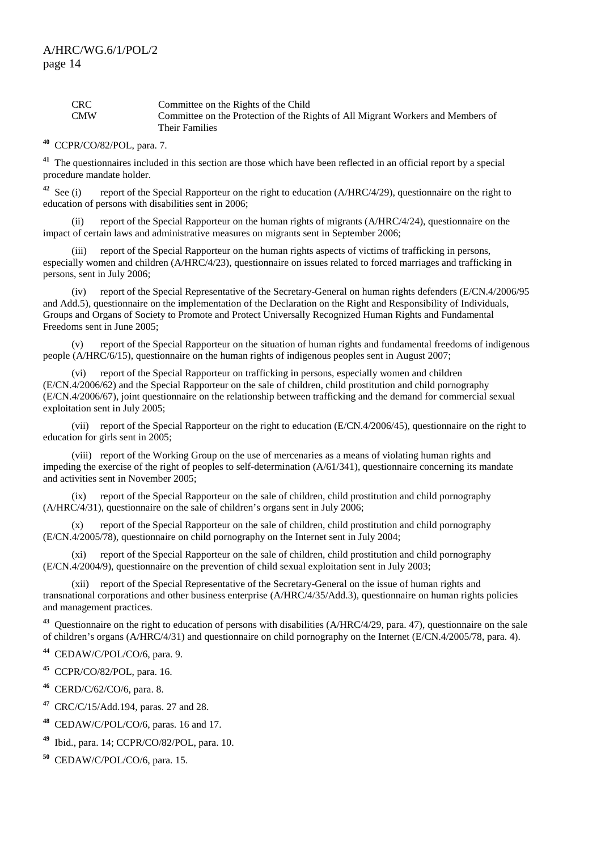| <b>CRC</b> | Committee on the Rights of the Child                                            |
|------------|---------------------------------------------------------------------------------|
| <b>CMW</b> | Committee on the Protection of the Rights of All Migrant Workers and Members of |
|            | Their Families                                                                  |

**<sup>40</sup>** CCPR/CO/82/POL, para. 7.

<sup>41</sup> The questionnaires included in this section are those which have been reflected in an official report by a special procedure mandate holder.

<sup>42</sup> See (i) report of the Special Rapporteur on the right to education (A/HRC/4/29), questionnaire on the right to education of persons with disabilities sent in 2006;

 (ii) report of the Special Rapporteur on the human rights of migrants (A/HRC/4/24), questionnaire on the impact of certain laws and administrative measures on migrants sent in September 2006;

 (iii) report of the Special Rapporteur on the human rights aspects of victims of trafficking in persons, especially women and children (A/HRC/4/23), questionnaire on issues related to forced marriages and trafficking in persons, sent in July 2006;

 (iv) report of the Special Representative of the Secretary-General on human rights defenders (E/CN.4/2006/95 and Add.5), questionnaire on the implementation of the Declaration on the Right and Responsibility of Individuals, Groups and Organs of Society to Promote and Protect Universally Recognized Human Rights and Fundamental Freedoms sent in June 2005;

 (v) report of the Special Rapporteur on the situation of human rights and fundamental freedoms of indigenous people (A/HRC/6/15), questionnaire on the human rights of indigenous peoples sent in August 2007;

 (vi) report of the Special Rapporteur on trafficking in persons, especially women and children (E/CN.4/2006/62) and the Special Rapporteur on the sale of children, child prostitution and child pornography (E/CN.4/2006/67), joint questionnaire on the relationship between trafficking and the demand for commercial sexual exploitation sent in July 2005;

 (vii) report of the Special Rapporteur on the right to education (E/CN.4/2006/45), questionnaire on the right to education for girls sent in 2005;

 (viii) report of the Working Group on the use of mercenaries as a means of violating human rights and impeding the exercise of the right of peoples to self-determination (A/61/341), questionnaire concerning its mandate and activities sent in November 2005;

 (ix) report of the Special Rapporteur on the sale of children, child prostitution and child pornography (A/HRC/4/31), questionnaire on the sale of children's organs sent in July 2006;

 (x) report of the Special Rapporteur on the sale of children, child prostitution and child pornography (E/CN.4/2005/78), questionnaire on child pornography on the Internet sent in July 2004;

 (xi) report of the Special Rapporteur on the sale of children, child prostitution and child pornography (E/CN.4/2004/9), questionnaire on the prevention of child sexual exploitation sent in July 2003;

 (xii) report of the Special Representative of the Secretary-General on the issue of human rights and transnational corporations and other business enterprise (A/HRC/4/35/Add.3), questionnaire on human rights policies and management practices.

**<sup>43</sup>** Questionnaire on the right to education of persons with disabilities (A/HRC/4/29, para. 47), questionnaire on the sale of children's organs (A/HRC/4/31) and questionnaire on child pornography on the Internet (E/CN.4/2005/78, para. 4).

**<sup>44</sup>** CEDAW/C/POL/CO/6, para. 9.

**<sup>45</sup>** CCPR/CO/82/POL, para. 16.

**<sup>46</sup>** CERD/C/62/CO/6, para. 8.

**<sup>47</sup>** CRC/C/15/Add.194, paras. 27 and 28.

**<sup>48</sup>** CEDAW/C/POL/CO/6, paras. 16 and 17.

**<sup>49</sup>** Ibid., para. 14; CCPR/CO/82/POL, para. 10.

**<sup>50</sup>** CEDAW/C/POL/CO/6, para. 15.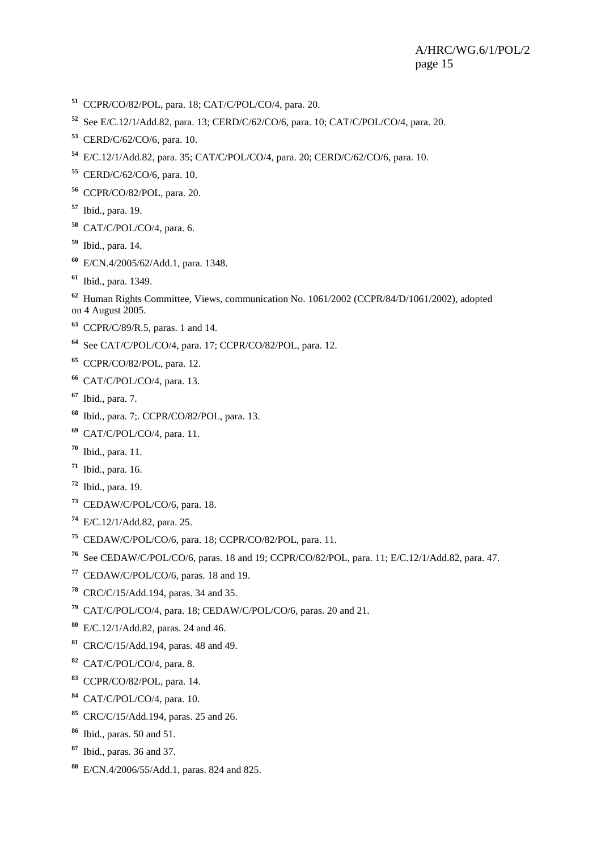- CCPR/CO/82/POL, para. 18; CAT/C/POL/CO/4, para. 20.
- See E/C.12/1/Add.82, para. 13; CERD/C/62/CO/6, para. 10; CAT/C/POL/CO/4, para. 20.
- CERD/C/62/CO/6, para. 10.
- E/C.12/1/Add.82, para. 35; CAT/C/POL/CO/4, para. 20; CERD/C/62/CO/6, para. 10.
- CERD/C/62/CO/6, para. 10.
- CCPR/CO/82/POL, para. 20.
- Ibid., para. 19.
- CAT/C/POL/CO/4, para. 6.
- Ibid., para. 14.
- E/CN.4/2005/62/Add.1, para. 1348.
- Ibid., para. 1349.

 Human Rights Committee, Views, communication No. 1061/2002 (CCPR/84/D/1061/2002), adopted on 4 August 2005.

- CCPR/C/89/R.5, paras. 1 and 14.
- See CAT/C/POL/CO/4, para. 17; CCPR/CO/82/POL, para. 12.
- CCPR/CO/82/POL, para. 12.
- CAT/C/POL/CO/4, para. 13.
- Ibid., para. 7.
- Ibid., para. 7;. CCPR/CO/82/POL, para. 13.
- CAT/C/POL/CO/4, para. 11.
- Ibid., para. 11.
- Ibid., para. 16.
- Ibid., para. 19.
- CEDAW/C/POL/CO/6, para. 18.
- E/C.12/1/Add.82, para. 25.
- CEDAW/C/POL/CO/6, para. 18; CCPR/CO/82/POL, para. 11.
- See CEDAW/C/POL/CO/6, paras. 18 and 19; CCPR/CO/82/POL, para. 11; E/C.12/1/Add.82, para. 47.
- CEDAW/C/POL/CO/6, paras. 18 and 19.
- CRC/C/15/Add.194, paras. 34 and 35.
- CAT/C/POL/CO/4, para. 18; CEDAW/C/POL/CO/6, paras. 20 and 21.
- E/C.12/1/Add.82, paras. 24 and 46.
- CRC/C/15/Add.194, paras. 48 and 49.
- CAT/C/POL/CO/4, para. 8.
- CCPR/CO/82/POL, para. 14.
- CAT/C/POL/CO/4, para. 10.
- CRC/C/15/Add.194, paras. 25 and 26.
- Ibid., paras. 50 and 51.
- Ibid., paras. 36 and 37.
- E/CN.4/2006/55/Add.1, paras. 824 and 825.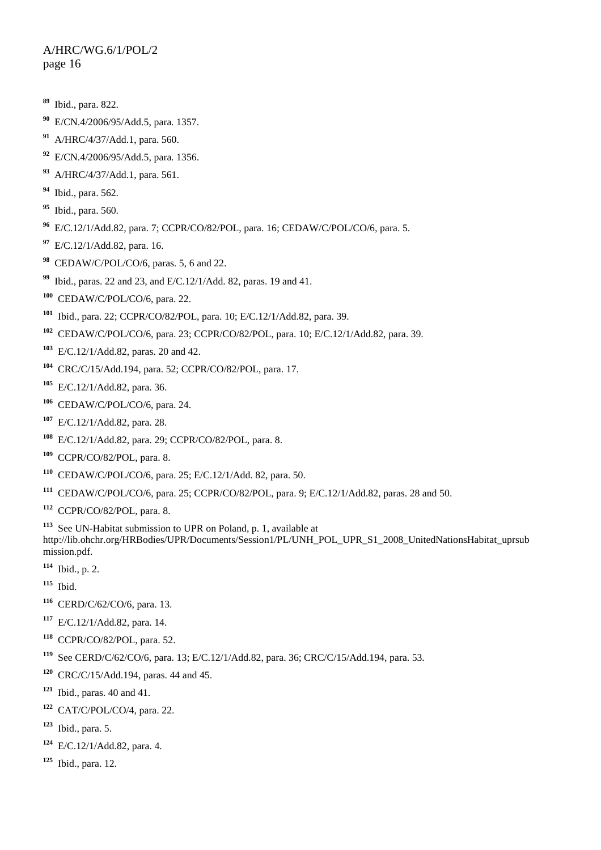- Ibid., para. 822.
- E/CN.4/2006/95/Add.5, para. 1357.
- A/HRC/4/37/Add.1, para. 560.
- E/CN.4/2006/95/Add.5, para. 1356.
- A/HRC/4/37/Add.1, para. 561.
- Ibid., para. 562.
- Ibid., para. 560.
- E/C.12/1/Add.82, para. 7; CCPR/CO/82/POL, para. 16; CEDAW/C/POL/CO/6, para. 5.
- E/C.12/1/Add.82, para. 16.
- CEDAW/C/POL/CO/6, paras. 5, 6 and 22.
- Ibid., paras. 22 and 23, and E/C.12/1/Add. 82, paras. 19 and 41.
- CEDAW/C/POL/CO/6, para. 22.
- Ibid., para. 22; CCPR/CO/82/POL, para. 10; E/C.12/1/Add.82, para. 39.
- CEDAW/C/POL/CO/6, para. 23; CCPR/CO/82/POL, para. 10; E/C.12/1/Add.82, para. 39.
- E/C.12/1/Add.82, paras. 20 and 42.
- CRC/C/15/Add.194, para. 52; CCPR/CO/82/POL, para. 17.
- E/C.12/1/Add.82, para. 36.
- CEDAW/C/POL/CO/6, para. 24.
- E/C.12/1/Add.82, para. 28.
- E/C.12/1/Add.82, para. 29; CCPR/CO/82/POL, para. 8.
- CCPR/CO/82/POL, para. 8.
- CEDAW/C/POL/CO/6, para. 25; E/C.12/1/Add. 82, para. 50.
- CEDAW/C/POL/CO/6, para. 25; CCPR/CO/82/POL, para. 9; E/C.12/1/Add.82, paras. 28 and 50.
- CCPR/CO/82/POL, para. 8.

 See UN-Habitat submission to UPR on Poland, p. 1, available at http://lib.ohchr.org/HRBodies/UPR/Documents/Session1/PL/UNH\_POL\_UPR\_S1\_2008\_UnitedNationsHabitat\_uprsub mission.pdf.

- Ibid., p. 2.
- Ibid.
- CERD/C/62/CO/6, para. 13.
- E/C.12/1/Add.82, para. 14.
- CCPR/CO/82/POL, para. 52.
- See CERD/C/62/CO/6, para. 13; E/C.12/1/Add.82, para. 36; CRC/C/15/Add.194, para. 53.
- CRC/C/15/Add.194, paras. 44 and 45.
- Ibid., paras. 40 and 41.
- CAT/C/POL/CO/4, para. 22.
- Ibid., para. 5.
- E/C.12/1/Add.82, para. 4.
- Ibid., para. 12.